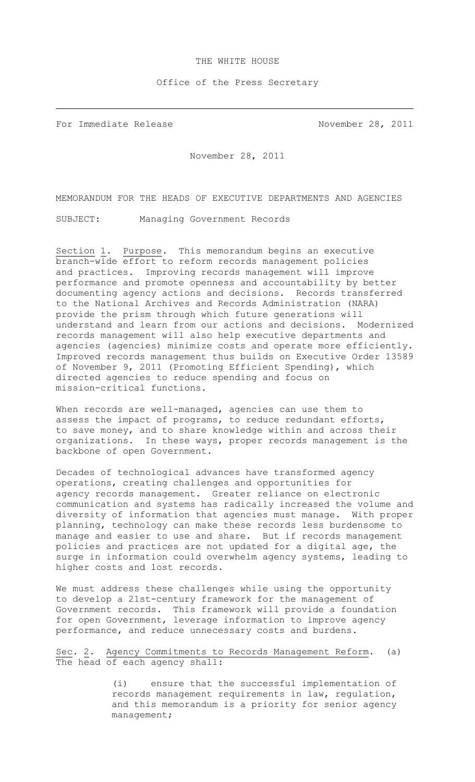## THE WHITE HOUSE

## Office of the Press Secretary

For Immediate Release November 28, 2011

November 28, 2011

MEMORANDUM FOR THE HEADS OF EXECUTIVE DEPARTMENTS AND AGENCIES

SUBJECT: Managing Government Records

Section 1. Purpose. This memorandum begins an executive branch-wide effort to reform records management policies and practices. Improving records management will improve performance and promote openness and accountability by better documenting agency actions and decisions. Records transferred to the National Archives and Records Administration (NARA) provide the prism through which future generations will understand and learn from our actions and decisions. Modernized records management will also help executive departments and agencies (agencies) minimize costs and operate more efficiently. Improved records management thus builds on Executive Order 13589 of November 9, 2011 (Promoting Efficient Spending), which directed agencies to reduce spending and focus on mission-critical functions.

When records are well-managed, agencies can use them to assess the impact of programs, to reduce redundant efforts, to save money, and to share knowledge within and across their organizations. In these ways, proper records management is the backbone of open Government.

Decades of technological advances have transformed agency operations, creating challenges and opportunities for agency records management. Greater reliance on electronic communication and systems has radically increased the volume and diversity of information that agencies must manage. With proper planning, technology can make these records less burdensome to manage and easier to use and share. But if records management policies and practices are not updated for a digital age, the surge in information could overwhelm agency systems, leading to higher costs and lost records.

We must address these challenges while using the opportunity to develop a 21st-century framework for the management of Government records. This framework will provide a foundation for open Government, leverage information to improve agency performance, and reduce unnecessary costs and burdens.

Sec. 2. Agency Commitments to Records Management Reform. (a) The head of each agency shall:

> (i) ensure that the successful implementation of records management requirements in law, regulation, and this memorandum is a priority for senior agency management;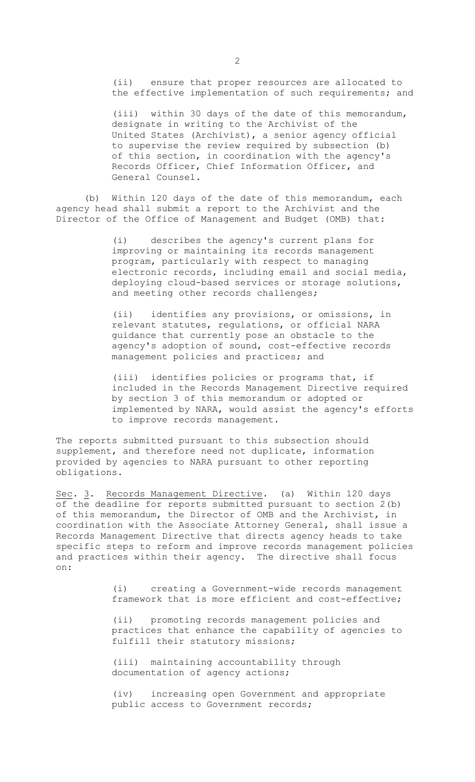(ii) ensure that proper resources are allocated to the effective implementation of such requirements; and

(iii) within 30 days of the date of this memorandum, designate in writing to the Archivist of the United States (Archivist), a senior agency official to supervise the review required by subsection (b) of this section, in coordination with the agency's Records Officer, Chief Information Officer, and General Counsel.

(b) Within 120 days of the date of this memorandum, each agency head shall submit a report to the Archivist and the Director of the Office of Management and Budget (OMB) that:

> (i) describes the agency's current plans for improving or maintaining its records management program, particularly with respect to managing electronic records, including email and social media, deploying cloud-based services or storage solutions, and meeting other records challenges;

(ii) identifies any provisions, or omissions, in relevant statutes, regulations, or official NARA guidance that currently pose an obstacle to the agency's adoption of sound, cost-effective records management policies and practices; and

(iii) identifies policies or programs that, if included in the Records Management Directive required by section 3 of this memorandum or adopted or implemented by NARA, would assist the agency's efforts to improve records management.

The reports submitted pursuant to this subsection should supplement, and therefore need not duplicate, information provided by agencies to NARA pursuant to other reporting obligations.

Sec. 3. Records Management Directive. (a) Within 120 days of the deadline for reports submitted pursuant to section 2(b) of this memorandum, the Director of OMB and the Archivist, in coordination with the Associate Attorney General, shall issue a Records Management Directive that directs agency heads to take specific steps to reform and improve records management policies and practices within their agency. The directive shall focus on:

> (i) creating a Government-wide records management framework that is more efficient and cost-effective;

> (ii) promoting records management policies and practices that enhance the capability of agencies to fulfill their statutory missions;

(iii) maintaining accountability through documentation of agency actions;

(iv) increasing open Government and appropriate public access to Government records;